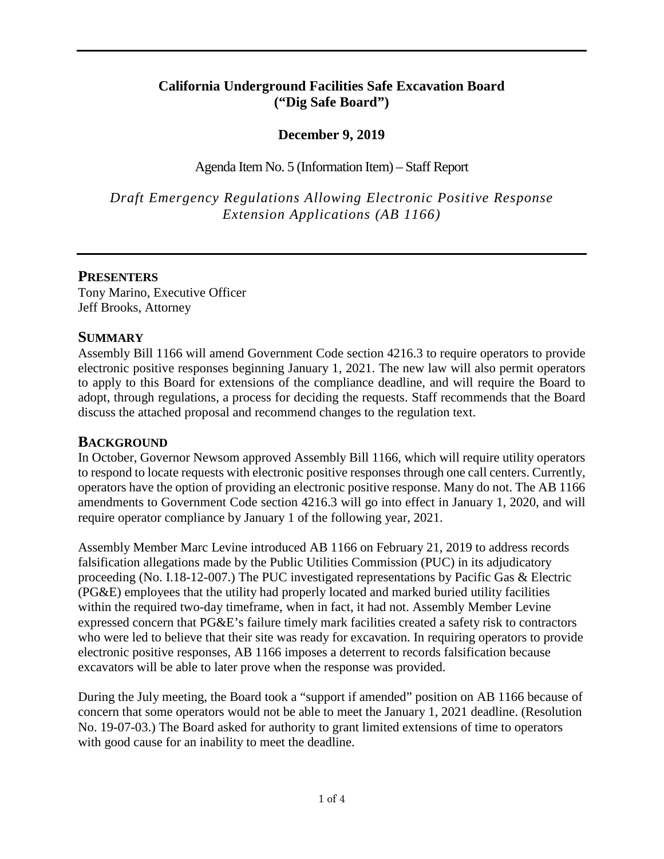## **California Underground Facilities Safe Excavation Board ("Dig Safe Board")**

## **December 9, 2019**

Agenda Item No. 5 (Information Item) – Staff Report

*Draft Emergency Regulations Allowing Electronic Positive Response Extension Applications (AB 1166)* 

## **PRESENTERS**

Tony Marino, Executive Officer Jeff Brooks, Attorney

#### **SUMMARY**

 to apply to this Board for extensions of the compliance deadline, and will require the Board to adopt, through regulations, a process for deciding the requests. Staff recommends that the Board Assembly Bill 1166 will amend Government Code section 4216.3 to require operators to provide electronic positive responses beginning January 1, 2021. The new law will also permit operators discuss the attached proposal and recommend changes to the regulation text.

## **BACKGROUND**

 operators have the option of providing an electronic positive response. Many do not. The AB 1166 require operator compliance by January 1 of the following year, 2021. In October, Governor Newsom approved Assembly Bill 1166, which will require utility operators to respond to locate requests with electronic positive responses through one call centers. Currently, amendments to Government Code section 4216.3 will go into effect in January 1, 2020, and will

Assembly Member Marc Levine introduced AB 1166 on February 21, 2019 to address records falsification allegations made by the Public Utilities Commission (PUC) in its adjudicatory proceeding (No. I.18-12-007.) The PUC investigated representations by Pacific Gas & Electric (PG&E) employees that the utility had properly located and marked buried utility facilities within the required two-day timeframe, when in fact, it had not. Assembly Member Levine expressed concern that PG&E's failure timely mark facilities created a safety risk to contractors who were led to believe that their site was ready for excavation. In requiring operators to provide electronic positive responses, AB 1166 imposes a deterrent to records falsification because excavators will be able to later prove when the response was provided.

During the July meeting, the Board took a "support if amended" position on AB 1166 because of concern that some operators would not be able to meet the January 1, 2021 deadline. (Resolution No. 19-07-03.) The Board asked for authority to grant limited extensions of time to operators with good cause for an inability to meet the deadline.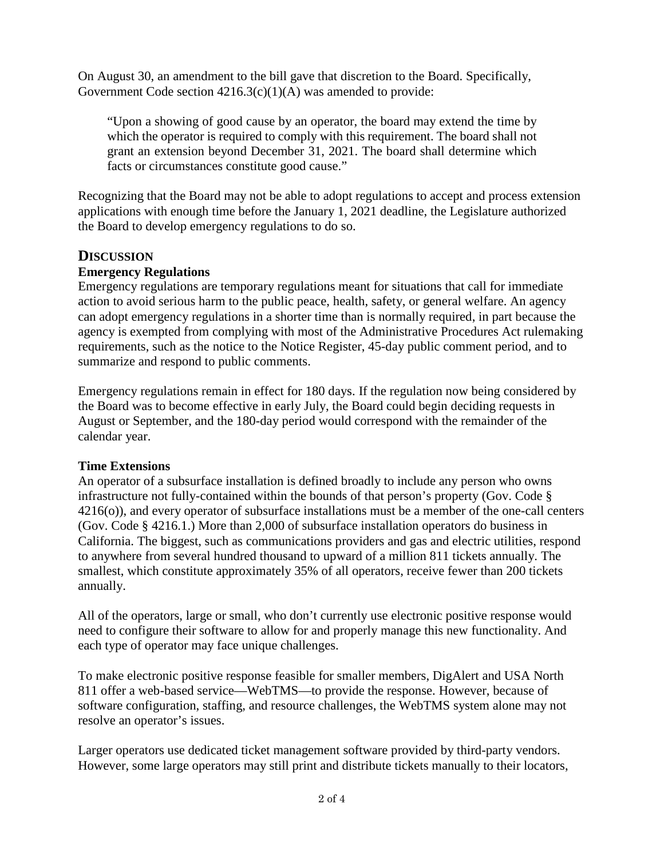On August 30, an amendment to the bill gave that discretion to the Board. Specifically, Government Code section  $4216.3(c)(1)(A)$  was amended to provide:

 "Upon a showing of good cause by an operator, the board may extend the time by which the operator is required to comply with this requirement. The board shall not grant an extension beyond December 31, 2021. The board shall determine which facts or circumstances constitute good cause."

Recognizing that the Board may not be able to adopt regulations to accept and process extension applications with enough time before the January 1, 2021 deadline, the Legislature authorized the Board to develop emergency regulations to do so.

## **DISCUSSION**

## **Emergency Regulations**

 action to avoid serious harm to the public peace, health, safety, or general welfare. An agency Emergency regulations are temporary regulations meant for situations that call for immediate can adopt emergency regulations in a shorter time than is normally required, in part because the agency is exempted from complying with most of the Administrative Procedures Act rulemaking requirements, such as the notice to the Notice Register, 45-day public comment period, and to summarize and respond to public comments.

 Emergency regulations remain in effect for 180 days. If the regulation now being considered by the Board was to become effective in early July, the Board could begin deciding requests in August or September, and the 180-day period would correspond with the remainder of the calendar year.

#### **Time Extensions**

An operator of a subsurface installation is defined broadly to include any person who owns infrastructure not fully-contained within the bounds of that person's property (Gov. Code § 4216(o)), and every operator of subsurface installations must be a member of the one-call centers (Gov. Code § 4216.1.) More than 2,000 of subsurface installation operators do business in California. The biggest, such as communications providers and gas and electric utilities, respond to anywhere from several hundred thousand to upward of a million 811 tickets annually. The smallest, which constitute approximately 35% of all operators, receive fewer than 200 tickets annually.

 each type of operator may face unique challenges. All of the operators, large or small, who don't currently use electronic positive response would need to configure their software to allow for and properly manage this new functionality. And

To make electronic positive response feasible for smaller members, DigAlert and USA North 811 offer a web-based service—WebTMS—to provide the response. However, because of software configuration, staffing, and resource challenges, the WebTMS system alone may not resolve an operator's issues.

Larger operators use dedicated ticket management software provided by third-party vendors. However, some large operators may still print and distribute tickets manually to their locators,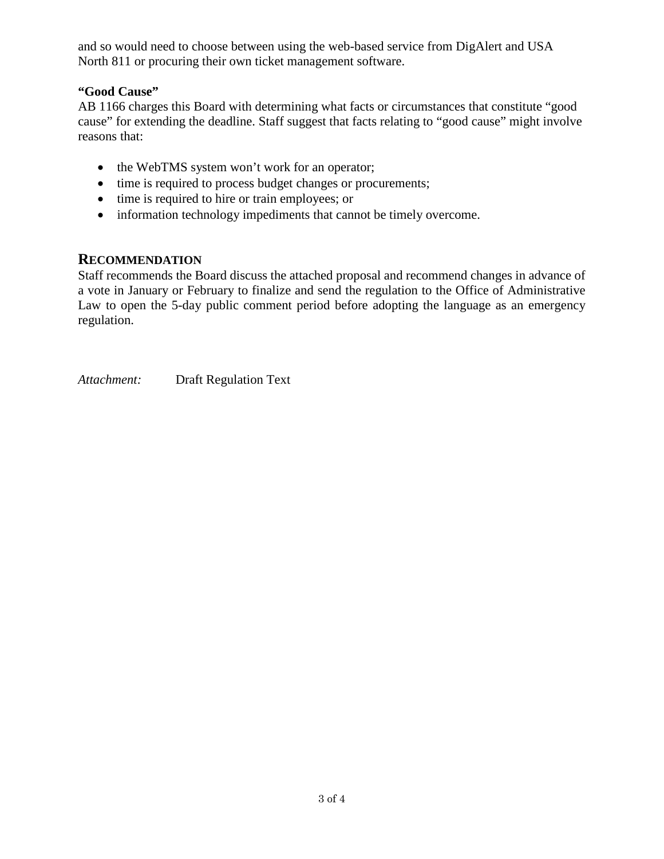and so would need to choose between using the web-based service from DigAlert and USA North 811 or procuring their own ticket management software.

#### **"Good Cause"**

 AB 1166 charges this Board with determining what facts or circumstances that constitute "good cause" for extending the deadline. Staff suggest that facts relating to "good cause" might involve reasons that:

- the WebTMS system won't work for an operator;
- time is required to process budget changes or procurements;
- time is required to hire or train employees; or
- information technology impediments that cannot be timely overcome.

## **RECOMMENDATION**

Staff recommends the Board discuss the attached proposal and recommend changes in advance of a vote in January or February to finalize and send the regulation to the Office of Administrative Law to open the 5-day public comment period before adopting the language as an emergency regulation.

*Attachment:* Draft Regulation Text